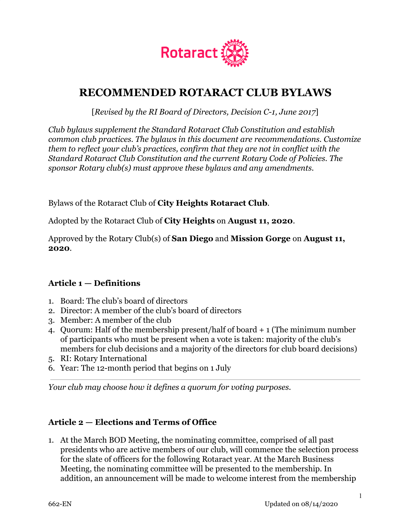

# **RECOMMENDED ROTARACT CLUB BYLAWS**

[*Revised by the RI Board of Directors, Decision C-1, June 2017*]

*Club bylaws supplement the Standard Rotaract Club Constitution and establish common club practices. The bylaws in this document are recommendations. Customize them to reflect your club's practices, confirm that they are not in conflict with the Standard Rotaract Club Constitution and the current Rotary Code of Policies. The sponsor Rotary club(s) must approve these bylaws and any amendments.*

Bylaws of the Rotaract Club of **City Heights Rotaract Club**.

Adopted by the Rotaract Club of **City Heights** on **August 11, 2020**.

Approved by the Rotary Club(s) of **San Diego** and **Mission Gorge** on **August 11, 2020**.

## **Article 1 — Definitions**

- 1. Board: The club's board of directors
- 2. Director: A member of the club's board of directors
- 3. Member: A member of the club
- 4. Quorum: Half of the membership present/half of board + 1 (The minimum number of participants who must be present when a vote is taken: majority of the club's members for club decisions and a majority of the directors for club board decisions)
- 5. RI: Rotary International
- 6. Year: The 12-month period that begins on 1 July

*Your club may choose how it defines a quorum for voting purposes.*

#### **Article 2 — Elections and Terms of Office**

1. At the March BOD Meeting, the nominating committee, comprised of all past presidents who are active members of our club, will commence the selection process for the slate of officers for the following Rotaract year. At the March Business Meeting, the nominating committee will be presented to the membership. In addition, an announcement will be made to welcome interest from the membership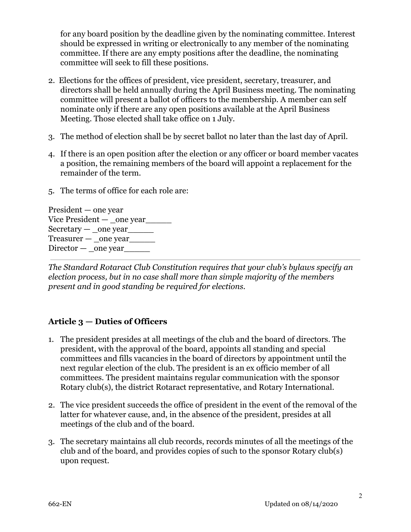for any board position by the deadline given by the nominating committee. Interest should be expressed in writing or electronically to any member of the nominating committee. If there are any empty positions after the deadline, the nominating committee will seek to fill these positions.

- 2. Elections for the offices of president, vice president, secretary, treasurer, and directors shall be held annually during the April Business meeting. The nominating committee will present a ballot of officers to the membership. A member can self nominate only if there are any open positions available at the April Business Meeting. Those elected shall take office on 1 July.
- 3. The method of election shall be by secret ballot no later than the last day of April.
- 4. If there is an open position after the election or any officer or board member vacates a position, the remaining members of the board will appoint a replacement for the remainder of the term.
- 5. The terms of office for each role are:

President — one year Vice President — \_one year\_\_\_\_\_\_\_  $Sercetary$  — \_one year  $T$ reasurer  $-$  \_one year  $\text{Directory}$  — \_one year

*The Standard Rotaract Club Constitution requires that your club's bylaws specify an election process, but in no case shall more than simple majority of the members present and in good standing be required for elections.*

## **Article 3 — Duties of Officers**

- 1. The president presides at all meetings of the club and the board of directors. The president, with the approval of the board, appoints all standing and special committees and fills vacancies in the board of directors by appointment until the next regular election of the club. The president is an ex officio member of all committees. The president maintains regular communication with the sponsor Rotary club(s), the district Rotaract representative, and Rotary International.
- 2. The vice president succeeds the office of president in the event of the removal of the latter for whatever cause, and, in the absence of the president, presides at all meetings of the club and of the board.
- 3. The secretary maintains all club records, records minutes of all the meetings of the club and of the board, and provides copies of such to the sponsor Rotary club(s) upon request.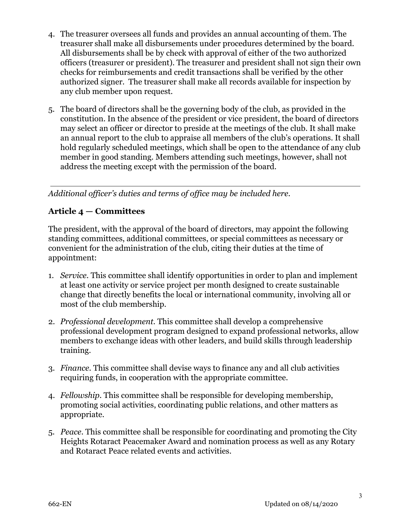- 4. The treasurer oversees all funds and provides an annual accounting of them. The treasurer shall make all disbursements under procedures determined by the board. All disbursements shall be by check with approval of either of the two authorized officers (treasurer or president). The treasurer and president shall not sign their own checks for reimbursements and credit transactions shall be verified by the other authorized signer. The treasurer shall make all records available for inspection by any club member upon request.
- 5. The board of directors shall be the governing body of the club, as provided in the constitution. In the absence of the president or vice president, the board of directors may select an officer or director to preside at the meetings of the club. It shall make an annual report to the club to appraise all members of the club's operations. It shall hold regularly scheduled meetings, which shall be open to the attendance of any club member in good standing. Members attending such meetings, however, shall not address the meeting except with the permission of the board.

*Additional officer's duties and terms of office may be included here.*

## **Article 4 — Committees**

The president, with the approval of the board of directors, may appoint the following standing committees, additional committees, or special committees as necessary or convenient for the administration of the club, citing their duties at the time of appointment:

- 1. *Service.* This committee shall identify opportunities in order to plan and implement at least one activity or service project per month designed to create sustainable change that directly benefits the local or international community, involving all or most of the club membership.
- 2. *Professional development.* This committee shall develop a comprehensive professional development program designed to expand professional networks, allow members to exchange ideas with other leaders, and build skills through leadership training.
- 3. *Finance.* This committee shall devise ways to finance any and all club activities requiring funds, in cooperation with the appropriate committee.
- 4. *Fellowship.* This committee shall be responsible for developing membership, promoting social activities, coordinating public relations, and other matters as appropriate.
- 5. *Peace*. This committee shall be responsible for coordinating and promoting the City Heights Rotaract Peacemaker Award and nomination process as well as any Rotary and Rotaract Peace related events and activities.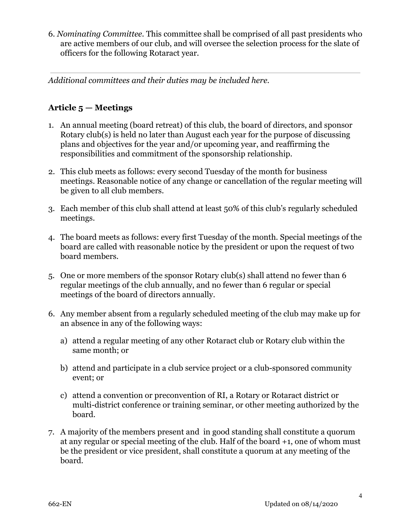6. *Nominating Committee.* This committee shall be comprised of all past presidents who are active members of our club, and will oversee the selection process for the slate of officers for the following Rotaract year.

*Additional committees and their duties may be included here.*

#### **Article 5 — Meetings**

- 1. An annual meeting (board retreat) of this club, the board of directors, and sponsor Rotary club(s) is held no later than August each year for the purpose of discussing plans and objectives for the year and/or upcoming year, and reaffirming the responsibilities and commitment of the sponsorship relationship.
- 2. This club meets as follows: every second Tuesday of the month for business meetings. Reasonable notice of any change or cancellation of the regular meeting will be given to all club members.
- 3. Each member of this club shall attend at least 50% of this club's regularly scheduled meetings.
- 4. The board meets as follows: every first Tuesday of the month. Special meetings of the board are called with reasonable notice by the president or upon the request of two board members.
- 5. One or more members of the sponsor Rotary club(s) shall attend no fewer than 6 regular meetings of the club annually, and no fewer than 6 regular or special meetings of the board of directors annually.
- 6. Any member absent from a regularly scheduled meeting of the club may make up for an absence in any of the following ways:
	- a) attend a regular meeting of any other Rotaract club or Rotary club within the same month; or
	- b) attend and participate in a club service project or a club-sponsored community event; or
	- c) attend a convention or preconvention of RI, a Rotary or Rotaract district or multi-district conference or training seminar, or other meeting authorized by the board.
- 7. A majority of the members present and in good standing shall constitute a quorum at any regular or special meeting of the club. Half of the board +1, one of whom must be the president or vice president, shall constitute a quorum at any meeting of the board.